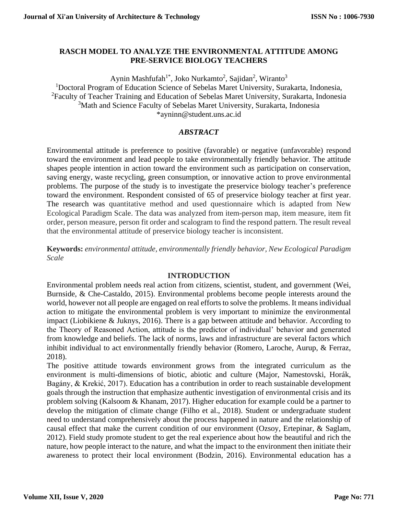## **RASCH MODEL TO ANALYZE THE ENVIRONMENTAL ATTITUDE AMONG PRE-SERVICE BIOLOGY TEACHERS**

Aynin Mashfufah<sup>1\*</sup>, Joko Nurkamto<sup>2</sup>, Sajidan<sup>2</sup>, Wiranto<sup>3</sup> <sup>1</sup>Doctoral Program of Education Science of Sebelas Maret University, Surakarta, Indonesia, <sup>2</sup>Faculty of Teacher Training and Education of Sebelas Maret University, Surakarta, Indonesia <sup>3</sup>Math and Science Faculty of Sebelas Maret University, Surakarta, Indonesia \*ayninn@student.uns.ac.id

# *ABSTRACT*

Environmental attitude is preference to positive (favorable) or negative (unfavorable) respond toward the environment and lead people to take environmentally friendly behavior. The attitude shapes people intention in action toward the environment such as participation on conservation, saving energy, waste recycling, green consumption, or innovative action to prove environmental problems. The purpose of the study is to investigate the preservice biology teacher's preference toward the environment. Respondent consisted of 65 of preservice biology teacher at first year. The research was quantitative method and used questionnaire which is adapted from New Ecological Paradigm Scale. The data was analyzed from item-person map, item measure, item fit order, person measure, person fit order and scalogram to find the respond pattern. The result reveal that the environmental attitude of preservice biology teacher is inconsistent.

**Keywords:** *environmental attitude, environmentally friendly behavior, New Ecological Paradigm Scale*

### **INTRODUCTION**

Environmental problem needs real action from citizens, scientist, student, and government (Wei, Burnside, & Che-Castaldo, 2015). Environmental problems become people interests around the world, however not all people are engaged on real efforts to solve the problems. It means individual action to mitigate the environmental problem is very important to minimize the environmental impact (Liobikiene & Juknys, 2016). There is a gap between attitude and behavior. According to the Theory of Reasoned Action, attitude is the predictor of individual' behavior and generated from knowledge and beliefs. The lack of norms, laws and infrastructure are several factors which inhibit individual to act environmentally friendly behavior (Romero, Laroche, Aurup, & Ferraz, 2018).

The positive attitude towards environment grows from the integrated curriculum as the environment is multi-dimensions of biotic, abiotic and culture (Major, Namestovski, Horák, Bagány, & Krekić, 2017). Education has a contribution in order to reach sustainable development goals through the instruction that emphasize authentic investigation of environmental crisis and its problem solving (Kalsoom & Khanam, 2017). Higher education for example could be a partner to develop the mitigation of climate change (Filho et al., 2018). Student or undergraduate student need to understand comprehensively about the process happened in nature and the relationship of causal effect that make the current condition of our environment (Ozsoy, Ertepinar, & Saglam, 2012). Field study promote student to get the real experience about how the beautiful and rich the nature, how people interact to the nature, and what the impact to the environment then initiate their awareness to protect their local environment (Bodzin, 2016). Environmental education has a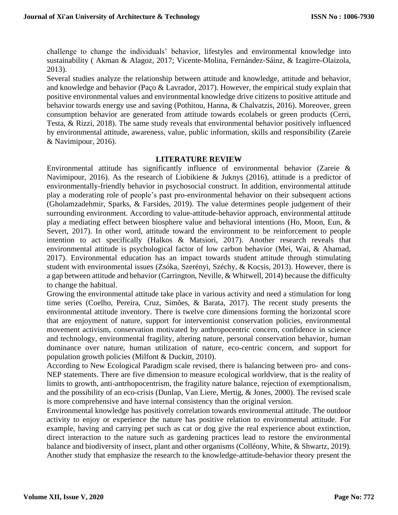challenge to change the individuals' behavior, lifestyles and environmental knowledge into sustainability ( Akman & Alagoz, 2017; Vicente-Molina, Fernández-Sáinz, & Izagirre-Olaizola, 2013).

Several studies analyze the relationship between attitude and knowledge, attitude and behavior, and knowledge and behavior (Paço & Lavrador, 2017). However, the empirical study explain that positive environmental values and environmental knowledge drive citizens to positive attitude and behavior towards energy use and saving (Pothitou, Hanna, & Chalvatzis, 2016). Moreover, green consumption behavior are generated from attitude towards ecolabels or green products (Cerri, Testa, & Rizzi, 2018). The same study reveals that environmental behavior positively influenced by environmental attitude, awareness, value, public information, skills and responsibility (Zareie & Navimipour, 2016).

#### **LITERATURE REVIEW**

Environmental attitude has significantly influence of environmental behavior (Zareie & Navimipour, 2016). As the research of Liobikiene & Juknys (2016), attitude is a predictor of environmentally-friendly behavior in psychosocial construct. In addition, environmental attitude play a moderating role of people's past pro-environmental behavior on their subsequent actions (Gholamzadehmir, Sparks, & Farsides, 2019). The value determines people judgement of their surrounding environment. According to value-attitude-behavior approach, environmental attitude play a mediating effect between biosphere value and behavioral intentions (Ho, Moon, Eun, & Severt, 2017). In other word, attitude toward the environment to be reinforcement to people intention to act specifically (Halkos & Matsiori, 2017). Another research reveals that environmental attitude is psychological factor of low carbon behavior (Mei, Wai, & Ahamad, 2017). Environmental education has an impact towards student attitude through stimulating student with environmental issues (Zsóka, Szerényi, Széchy, & Kocsis, 2013). However, there is a gap between attitude and behavior (Carrington, Neville, & Whitwell, 2014) because the difficulty to change the habitual.

Growing the environmental attitude take place in various activity and need a stimulation for long time series (Coelho, Pereira, Cruz, Simões, & Barata, 2017). The recent study presents the environmental attitude inventory. There is twelve core dimensions forming the horizontal score that are enjoyment of nature, support for interventionist conservation policies, environmental movement activism, conservation motivated by anthropocentric concern, confidence in science and technology, environmental fragility, altering nature, personal conservation behavior, human dominance over nature, human utilization of nature, eco-centric concern, and support for population growth policies (Milfont & Duckitt, 2010).

According to New Ecological Paradigm scale revised, there is balancing between pro- and cons-NEP statements. There are five dimension to measure ecological worldview, that is the reality of limits to growth, anti-antrhopocentrism, the fragility nature balance, rejection of exemptionalism, and the possibility of an eco-crisis (Dunlap, Van Liere, Mertig, & Jones, 2000). The revised scale is more comprehensive and have internal consistency than the original version.

Environmental knowledge has positively correlation towards environmental attitude. The outdoor activity to enjoy or experience the nature has positive relation to environmental attitude. For example, having and carrying pet such as cat or dog give the real experience about extinction, direct interaction to the nature such as gardening practices lead to restore the environmental balance and biodiversity of insect, plant and other organisms (Colléony, White, & Shwartz, 2019). Another study that emphasize the research to the knowledge-attitude-behavior theory present the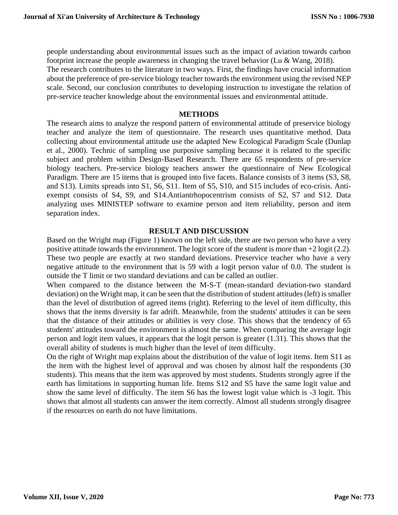people understanding about environmental issues such as the impact of aviation towards carbon footprint increase the people awareness in changing the travel behavior (Lu & Wang, 2018). The research contributes to the literature in two ways. First, the findings have crucial information about the preference of pre-service biology teacher towards the environment using the revised NEP scale. Second, our conclusion contributes to developing instruction to investigate the relation of pre-service teacher knowledge about the environmental issues and environmental attitude.

#### **METHODS**

The research aims to analyze the respond pattern of environmental attitude of preservice biology teacher and analyze the item of questionnaire. The research uses quantitative method. Data collecting about environmental attitude use the adapted New Ecological Paradigm Scale (Dunlap et al., 2000). Technic of sampling use purposive sampling because it is related to the specific subject and problem within Design-Based Research. There are 65 respondents of pre-service biology teachers. Pre-service biology teachers answer the questionnaire of New Ecological Paradigm. There are 15 items that is grouped into five facets. Balance consists of 3 items (S3, S8, and S13). Limits spreads into S1, S6, S11. Item of S5, S10, and S15 includes of eco-crisis. Antiexempt consists of S4, S9, and S14.Antiantrhopocentrism consists of S2, S7 and S12. Data analyzing uses MINISTEP software to examine person and item reliability, person and item separation index.

### **RESULT AND DISCUSSION**

Based on the Wright map (Figure 1) known on the left side, there are two person who have a very positive attitude towards the environment. The logit score of the student is more than +2 logit (2.2). These two people are exactly at two standard deviations. Preservice teacher who have a very negative attitude to the environment that is 59 with a logit person value of 0.0. The student is outside the T limit or two standard deviations and can be called an outlier.

When compared to the distance between the M-S-T (mean-standard deviation-two standard deviation) on the Wright map, it can be seen that the distribution of student attitudes (left) is smaller than the level of distribution of agreed items (right). Referring to the level of item difficulty, this shows that the items diversity is far adrift. Meanwhile, from the students' attitudes it can be seen that the distance of their attitudes or abilities is very close. This shows that the tendency of 65 students' attitudes toward the environment is almost the same. When comparing the average logit person and logit item values, it appears that the logit person is greater (1.31). This shows that the overall ability of students is much higher than the level of item difficulty.

On the right of Wright map explains about the distribution of the value of logit items. Item S11 as the item with the highest level of approval and was chosen by almost half the respondents (30 students). This means that the item was approved by most students. Students strongly agree if the earth has limitations in supporting human life. Items S12 and S5 have the same logit value and show the same level of difficulty. The item S6 has the lowest logit value which is -3 logit. This shows that almost all students can answer the item correctly. Almost all students strongly disagree if the resources on earth do not have limitations.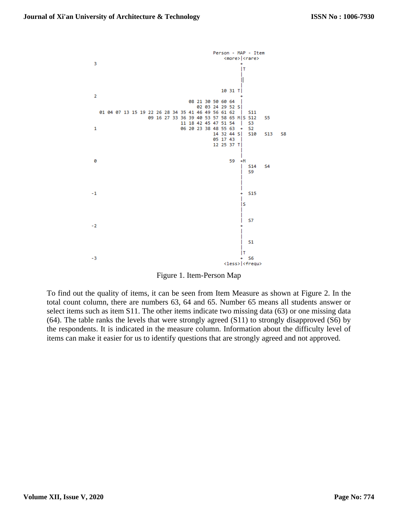

Figure 1. Item-Person Map

To find out the quality of items, it can be seen from Item Measure as shown at Figure 2. In the total count column, there are numbers 63, 64 and 65. Number 65 means all students answer or select items such as item S11. The other items indicate two missing data (63) or one missing data (64). The table ranks the levels that were strongly agreed (S11) to strongly disapproved (S6) by the respondents. It is indicated in the measure column. Information about the difficulty level of items can make it easier for us to identify questions that are strongly agreed and not approved.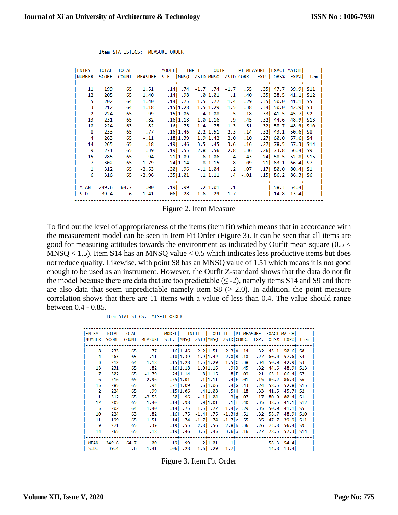| <b>ENTRY</b>   | TOTAL        | TOTAL        |         | MODELI INFIT I                                                |             |                        | OUTFIT   PT-MEASURE   EXACT MATCH |                 |                      |      |  |
|----------------|--------------|--------------|---------|---------------------------------------------------------------|-------------|------------------------|-----------------------------------|-----------------|----------------------|------|--|
| I NUMBER       | <b>SCORE</b> | <b>COUNT</b> |         | MEASURE S.E.  MNSO ZSTD MNSO ZSTD CORR. EXP.  OBS% EXP%  Item |             |                        |                                   |                 |                      |      |  |
|                |              |              |         |                                                               |             |                        |                                   |                 |                      |      |  |
| 11             | 199          | 65           | 1.51    | $.14$ $.74$ $-1.7$ $.74$ $-1.7$                               |             |                        | . 55                              |                 | .35 47.7 39.9 S11    |      |  |
| 12             | 205          | 65           | 1.40    | $.14$ . 98                                                    | .0 1.01     | $\left  \cdot \right $ | .40                               | $.35$ 38.5      | $41.1$ S12           |      |  |
| 5              | 202          | 64           | 1.40    | .14 .75                                                       | $-1.5$ . 77 | $-1.4$                 | .29                               | .35 50.0        | $41.1$ S5            |      |  |
| 3              | 212          | 64           | 1.18    | .15 1.28                                                      |             | $1.5 1.29$ 1.5         | .38 <sub>1</sub>                  |                 | $.34$ 50.0 42.9 S3   |      |  |
| $\overline{2}$ | 224          | 65           | .99     | $.15 1.06$ $.4 1.08$ $.5 $                                    |             |                        | .18                               |                 | $.33$ 41.5 45.7      | - S2 |  |
| 13             | 231          | 65           | .82     | $.16 1.18$ $1.0 1.16$ .9                                      |             |                        | .45                               |                 | $.32$ 44.6 48.9 S13  |      |  |
| 10             | 224          | 63           | .82     | .16. .75 -1.4. .75                                            |             | $-1.3$                 | . 51                              | $.32$ 58.7      | 48.9 S10             |      |  |
| 8              | 233          | 65           | . 77    | $.16 1.46$ 2.2   1.51 2.3                                     |             |                        | .14                               | $.32$ 43.1      | 50.61                | S8   |  |
| 4              | 263          | 65           | $-.11$  | .18 1.39                                                      | 1.9 1.42    | 2.0                    | .10                               | .27 60.0        | $57.6$ S4            |      |  |
| 14             | 265          | 65           | $-.18$  | $.19$ . 46                                                    | $-3.5$ . 45 | $-3.6$                 | .16                               | $.27$   78.5    | 57.3 S14             |      |  |
| 9              | 271          | 65           | $-.39$  | .19 .55                                                       | $-2.8$ . 56 | $-2.8$                 | .36                               | $.26$ 73.8      | 56.4                 | S9   |  |
| 15             | 285          | 65           | $-.94$  | $.21 1.09$ $.6 1.06$ $.4 $                                    |             |                        | .43                               |                 | $.24$ 58.5 52.8 S15  |      |  |
| 7              | 302          | 65           | $-1.79$ | $.24 1.14$ $.8 1.15$                                          |             | .8 <sub>1</sub>        | .09                               | $.21 \mid 63.1$ | 66.4                 | - S7 |  |
| 1              | 312          | 65           | $-2.53$ | .30. 30.                                                      | $-11.04$    | .21                    | .07                               | .17  80.0       | 80.4 S1              |      |  |
| 6              | 316          | 65           | $-2.96$ | .35 1.01                                                      | .1 1.11     | .4                     | $-.01$                            |                 | $.15$   86.2 86.3 56 |      |  |
|                |              |              |         |                                                               |             |                        |                                   |                 |                      |      |  |
| MEAN           | 249.6        | 64.7         | .00     | .19 .99                                                       | $-.2 1.01$  | $-.1$                  |                                   |                 | 58.3 54.4            |      |  |
| S.D.           | 39.4         | $.6\,$       | 1.41    | .061.28                                                       | $1.6$ . 29  | 1.7                    |                                   |                 | $  14.8 \t13.4  $    |      |  |
|                |              |              |         |                                                               |             |                        |                                   |                 |                      |      |  |

Item STATISTICS: MEASURE ORDER

Figure 2. Item Measure

To find out the level of appropriateness of the items (item fit) which means that in accordance with the measurement model can be seen in Item Fit Order (Figure 3). It can be seen that all items are good for measuring attitudes towards the environment as indicated by Outfit mean square (0.5 < MNSQ < 1.5). Item S14 has an MNSQ value < 0.5 which indicates less productive items but does not reduce quality. Likewise, with point S8 has an MNSQ value of 1.51 which means it is not good enough to be used as an instrument. However, the Outfit Z-standard shows that the data do not fit the model because there are data that are too predictable  $(\leq -2)$ , namely items S14 and S9 and there are also data that seem unpredictable namely item  $S8$  ( $> 2.0$ ). In addition, the point measure correlation shows that there are 11 items with a value of less than 0.4. The value should range between 0.4 - 0.85.

Item STATISTICS: MISFIT ORDER

| <b>ENTRY</b>   | <b>TOTAL</b> | TOTAL          |          |            |                               | MODEL   INFIT   OUTFIT   PT-MEASURE   EXACT MATCH          |                        |            |  |
|----------------|--------------|----------------|----------|------------|-------------------------------|------------------------------------------------------------|------------------------|------------|--|
| <b>NUMBER</b>  | <b>SCORE</b> | <b>COUNT</b>   |          |            |                               | MEASURE S.E. MNSO ZSTD MNSO ZSTD CORR. EXP. OBS% EXP% Item |                        |            |  |
|                |              |                |          |            |                               | -------- <del>-</del> ----------- <b>-</b>                 |                        |            |  |
| 8              | 233          | 65             | .77      | .16 1.46   | 2.2 1.51                      | 2.3 A.14                                                   | $.32$ 43.1             | $50.6$ S8  |  |
| 4              | 263          | 65             | $-.11$   | .18 1.39   | 1.9 1.42                      | 2.0 B.10                                                   | .27 60.0               | $57.6$ S4  |  |
| 3              | 212          | 64             | 1.18     | .15 1.28   | 1.5 1.29                      | 1.5C.38                                                    | $.34$ 50.0 42.9 S3     |            |  |
| 13             | 231          | 65             | .82      | .16 1.18   | 1.0 1.16                      | .9 D.45                                                    | $.32$ 44.6             | 48.9 S13   |  |
| 7              | 302          | 65             | $-1.79$  |            | $.24 1.14$ $.8 1.15$          | .8 E .09                                                   | $.21 \mid 63.1$        | 66.4 S7    |  |
| 6              | 316          | 65             | $-2.96$  | .35 1.01   | .1 1.11                       | $.4$   F $-.01$                                            | $.15$   86.2           | $86.3$ S6  |  |
| 15             | 285          | 65             | $-0.94$  | .21 1.09   | .6 1.06                       | $.4$ G $.43$                                               | $.24$ 58.5 52.8 S15    |            |  |
| $\overline{2}$ | 224          | 65             | .99      |            | $.15 1.06$ $.4 1.08$          | $.5$ $\textsf{H}$ $.18$                                    | $.33$ 41.5 45.7 S2     |            |  |
| 1              | 312          | 65             | $-2.53$  | .30 .96    | $-.1 1.04$                    | .2 g.07                                                    | .17 80.0               | $80.4$ S1  |  |
| 12             | 205          | 65             | 1.40     |            | $.14$ $.98$ $.0$ $1.01$       | $.1$   f $.40$                                             | $.35$ 38.5 41.1 $512$  |            |  |
| -5             | 202          | 64             | 1.40     | $.14$ . 75 | $-1.5$ .77                    | $-1.4$  e.29                                               | $.35$ 50.0 41.1 S5     |            |  |
| 10             | 224          | 63             | .82      | $.16$ . 75 |                               | $-1.4$ .75 $-1.3$ d .51                                    | $.32$ 58.7             | $48.9$ S10 |  |
| 11             | 199          | 65             | 1.51     |            | .14.   74. -1.7.   14.        | $-1.7$  c.55                                               | $.35$ 47.7 39.9 S11    |            |  |
| -9             | 271          | 65             | $-.39$   |            |                               | $.19$ [. 4.8] $.56$ -2.8] $.56$ -2.8] $.36$                | $.26$ 73.8 56.4 S9     |            |  |
| 14             | 265          | 65             | $-.18$   |            |                               | $.19$   $.46$ $-3.5$   $.45$ $-3.6$   $a$ $.16$            | $.27$   78.5 57.3  S14 |            |  |
|                |              |                |          |            |                               |                                                            |                        |            |  |
| MEAN           | 249.6        |                | 64.7 .00 |            | $.19$ $.99$ $.2$ $ 1.01$ $.1$ |                                                            |                        | 58.3 54.4  |  |
| S.D.           | 39.4         | $\overline{6}$ | 1.41     | $.06$ . 28 | $1.6$ . 29                    | 1.7                                                        | 14.8                   | 13.4       |  |
|                |              |                |          |            |                               |                                                            |                        |            |  |

Figure 3. Item Fit Order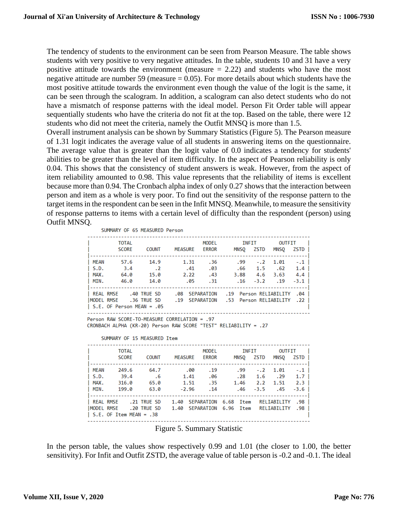The tendency of students to the environment can be seen from Pearson Measure. The table shows students with very positive to very negative attitudes. In the table, students 10 and 31 have a very positive attitude towards the environment (measure  $= 2.22$ ) and students who have the most negative attitude are number 59 (measure  $= 0.05$ ). For more details about which students have the most positive attitude towards the environment even though the value of the logit is the same, it can be seen through the scalogram. In addition, a scalogram can also detect students who do not have a mismatch of response patterns with the ideal model. Person Fit Order table will appear sequentially students who have the criteria do not fit at the top. Based on the table, there were 12 students who did not meet the criteria, namely the Outfit MNSQ is more than 1.5.

Overall instrument analysis can be shown by Summary Statistics (Figure 5). The Pearson measure of 1.31 logit indicates the average value of all students in answering items on the questionnaire. The average value that is greater than the logit value of 0.0 indicates a tendency for students' abilities to be greater than the level of item difficulty. In the aspect of Pearson reliability is only 0.04. This shows that the consistency of student answers is weak. However, from the aspect of item reliability amounted to 0.98. This value represents that the reliability of items is excellent because more than 0.94. The Cronbach alpha index of only 0.27 shows that the interaction between person and item as a whole is very poor. To find out the sensitivity of the response pattern to the target items in the respondent can be seen in the Infit MNSQ. Meanwhile, to measure the sensitivity of response patterns to items with a certain level of difficulty than the respondent (person) using Outfit MNSQ.

SUMMARY OF 65 MEASURED Person

|                  | <b>TOTAL</b>                      |                             |                | <b>MODEL</b> |                        | INFIT | OUTFIT      |            |  |
|------------------|-----------------------------------|-----------------------------|----------------|--------------|------------------------|-------|-------------|------------|--|
|                  | <b>SCORE</b>                      | <b>COUNT</b>                | <b>MEASURE</b> | <b>ERROR</b> | MNSO                   | ZSTD  | <b>MNSO</b> | ZSTD       |  |
|                  |                                   |                             |                |              |                        |       |             |            |  |
| MEAN             | 57.6                              | 14.9                        | 1.31           | .36          | .99                    | $-.2$ | 1.01        | $-.1$      |  |
| S.D.             | 3.4                               | $\overline{\phantom{0}}$ .2 | .41            | .03          | .66                    | 1.5   | .62         | $1.4 \;  $ |  |
| I MAX.           | 64.0                              | 15.0                        | 2.22           | .43          | 3.88                   | 4.6   | 3.63        | $4.4 \;  $ |  |
| I MIN.           | 46.0                              | 14.0                        | .05            | .31          | .16                    |       | $-3.2$ .19  | $-3.1$     |  |
|                  |                                   |                             |                |              |                        |       |             |            |  |
| <b>REAL RMSE</b> |                                   | .40 TRUE SD                 | .08            | SEPARATION   | .19 Person RELIABILITY |       |             | .04        |  |
| MODEL RMSE       |                                   | .36 TRUE SD                 | .19 SEPARATION |              | .53 Person RELIABILITY |       |             | .22        |  |
|                  | $\vert$ S.E. OF Person MEAN = .05 |                             |                |              |                        |       |             |            |  |
|                  |                                   |                             |                |              |                        |       |             |            |  |

Person RAW SCORE-TO-MEASURE CORRELATION = .97 CRONBACH ALPHA (KR-20) Person RAW SCORE "TEST" RELIABILITY = .27

SUMMARY OF 15 MEASURED Item

|                                  | <b>TOTAL</b><br><b>SCORE</b>    | <b>COUNT</b>                           | <b>MEASURE</b>                                                     | MODEL<br><b>ERROR</b>    | MNSO               | INFIT<br>ZSTD | OUTFIT<br>MNSO                                        | ZSTD I                                             |  |
|----------------------------------|---------------------------------|----------------------------------------|--------------------------------------------------------------------|--------------------------|--------------------|---------------|-------------------------------------------------------|----------------------------------------------------|--|
| MEAN<br>l S.D.<br>I MAX.<br>MIN. | 249.6<br>39.4<br>316.0<br>199.A | 64.7<br>$\overline{6}$<br>65.0<br>63.0 | .00<br>1.41<br>1.51<br>$-2.96$                                     | .19<br>.06<br>.35<br>.14 | .28<br>1.46<br>.46 | 2.2           | $.99 - .2 1.01$<br>$1.6 \t .29$<br>1.51<br>$-3.5$ .45 | $-.1$  <br>$1.7 \;   \;$<br>$2.3 \;  $<br>$-3.6$ 1 |  |
| REAL RMSE<br>IMODEL RMSE         | $\vert$ S.E. OF Item MEAN = .38 | .21 TRUE SD<br>.20 TRUE SD             | 1.40 SEPARATION 6.68 Item RELIABILITY<br>1.40 SEPARATION 6.96 Item |                          |                    |               | RELIABILITY                                           | .98 l<br>.98                                       |  |

Figure 5. Summary Statistic

In the person table, the values show respectively 0.99 and 1.01 (the closer to 1.00, the better sensitivity). For Infit and Outfit ZSTD, the average value of table person is -0.2 and -0.1. The ideal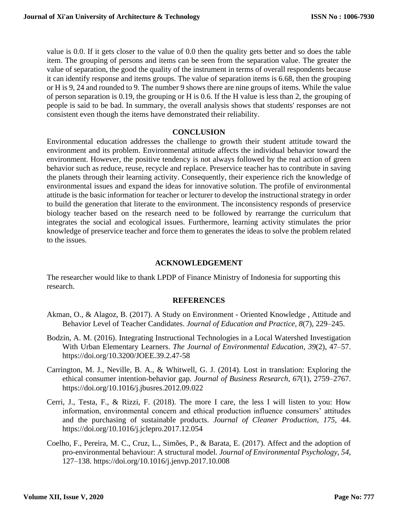value is 0.0. If it gets closer to the value of 0.0 then the quality gets better and so does the table item. The grouping of persons and items can be seen from the separation value. The greater the value of separation, the good the quality of the instrument in terms of overall respondents because it can identify response and items groups. The value of separation items is 6.68, then the grouping or H is 9, 24 and rounded to 9. The number 9 shows there are nine groups of items. While the value of person separation is 0.19, the grouping or H is 0.6. If the H value is less than 2, the grouping of people is said to be bad. In summary, the overall analysis shows that students' responses are not consistent even though the items have demonstrated their reliability.

#### **CONCLUSION**

Environmental education addresses the challenge to growth their student attitude toward the environment and its problem. Environmental attitude affects the individual behavior toward the environment. However, the positive tendency is not always followed by the real action of green behavior such as reduce, reuse, recycle and replace. Preservice teacher has to contribute in saving the planets through their learning activity. Consequently, their experience rich the knowledge of environmental issues and expand the ideas for innovative solution. The profile of environmental attitude is the basic information for teacher or lecturer to develop the instructional strategy in order to build the generation that literate to the environment. The inconsistency responds of preservice biology teacher based on the research need to be followed by rearrange the curriculum that integrates the social and ecological issues. Furthermore, learning activity stimulates the prior knowledge of preservice teacher and force them to generates the ideas to solve the problem related to the issues.

### **ACKNOWLEDGEMENT**

The researcher would like to thank LPDP of Finance Ministry of Indonesia for supporting this research.

### **REFERENCES**

- Akman, O., & Alagoz, B. (2017). A Study on Environment Oriented Knowledge , Attitude and Behavior Level of Teacher Candidates. *Journal of Education and Practice*, *8*(7), 229–245.
- Bodzin, A. M. (2016). Integrating Instructional Technologies in a Local Watershed Investigation With Urban Elementary Learners. *The Journal of Environmental Education*, *39*(2), 47–57. https://doi.org/10.3200/JOEE.39.2.47-58
- Carrington, M. J., Neville, B. A., & Whitwell, G. J. (2014). Lost in translation: Exploring the ethical consumer intention-behavior gap. *Journal of Business Research*, *67*(1), 2759–2767. https://doi.org/10.1016/j.jbusres.2012.09.022
- Cerri, J., Testa, F., & Rizzi, F. (2018). The more I care, the less I will listen to you: How information, environmental concern and ethical production influence consumers' attitudes and the purchasing of sustainable products. *Journal of Cleaner Production*, *175*, 44. https://doi.org/10.1016/j.jclepro.2017.12.054
- Coelho, F., Pereira, M. C., Cruz, L., Simões, P., & Barata, E. (2017). Affect and the adoption of pro-environmental behaviour: A structural model. *Journal of Environmental Psychology*, *54*, 127–138. https://doi.org/10.1016/j.jenvp.2017.10.008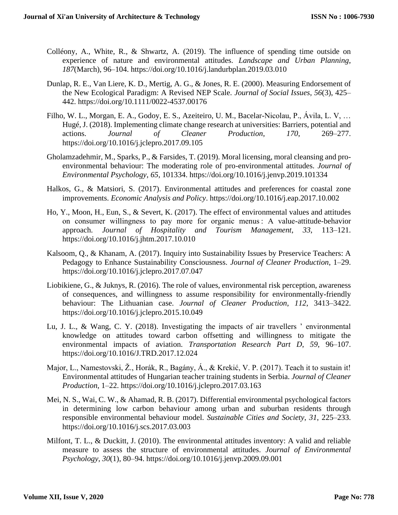- Colléony, A., White, R., & Shwartz, A. (2019). The influence of spending time outside on experience of nature and environmental attitudes. *Landscape and Urban Planning*, *187*(March), 96–104. https://doi.org/10.1016/j.landurbplan.2019.03.010
- Dunlap, R. E., Van Liere, K. D., Mertig, A. G., & Jones, R. E. (2000). Measuring Endorsement of the New Ecological Paradigm: A Revised NEP Scale. *Journal of Social Issues*, *56*(3), 425– 442. https://doi.org/10.1111/0022-4537.00176
- Filho, W. L., Morgan, E. A., Godoy, E. S., Azeiteiro, U. M., Bacelar-Nicolau, P., Ávila, L. V, … Hugé, J. (2018). Implementing climate change research at universities: Barriers, potential and actions. *Journal of Cleaner Production*, *170*, 269–277. https://doi.org/10.1016/j.jclepro.2017.09.105
- Gholamzadehmir, M., Sparks, P., & Farsides, T. (2019). Moral licensing, moral cleansing and proenvironmental behaviour: The moderating role of pro-environmental attitudes. *Journal of Environmental Psychology*, *65*, 101334. https://doi.org/10.1016/j.jenvp.2019.101334
- Halkos, G., & Matsiori, S. (2017). Environmental attitudes and preferences for coastal zone improvements. *Economic Analysis and Policy*. https://doi.org/10.1016/j.eap.2017.10.002
- Ho, Y., Moon, H., Eun, S., & Severt, K. (2017). The effect of environmental values and attitudes on consumer willingness to pay more for organic menus : A value-attitude-behavior approach. *Journal of Hospitality and Tourism Management*, *33*, 113–121. https://doi.org/10.1016/j.jhtm.2017.10.010
- Kalsoom, Q., & Khanam, A. (2017). Inquiry into Sustainability Issues by Preservice Teachers: A Pedagogy to Enhance Sustainability Consciousness. *Journal of Cleaner Production*, 1–29. https://doi.org/10.1016/j.jclepro.2017.07.047
- Liobikiene, G., & Juknys, R. (2016). The role of values, environmental risk perception, awareness of consequences, and willingness to assume responsibility for environmentally-friendly behaviour: The Lithuanian case. *Journal of Cleaner Production*, *112*, 3413–3422. https://doi.org/10.1016/j.jclepro.2015.10.049
- Lu, J. L., & Wang, C. Y. (2018). Investigating the impacts of air travellers ' environmental knowledge on attitudes toward carbon offsetting and willingness to mitigate the environmental impacts of aviation. *Transportation Research Part D*, *59*, 96–107. https://doi.org/10.1016/J.TRD.2017.12.024
- Major, L., Namestovski, Ž., Horák, R., Bagány, Á., & Krekić, V. P. (2017). Teach it to sustain it! Environmental attitudes of Hungarian teacher training students in Serbia. *Journal of Cleaner Production*, 1–22. https://doi.org/10.1016/j.jclepro.2017.03.163
- Mei, N. S., Wai, C. W., & Ahamad, R. B. (2017). Differential environmental psychological factors in determining low carbon behaviour among urban and suburban residents through responsible environmental behaviour model. *Sustainable Cities and Society*, *31*, 225–233. https://doi.org/10.1016/j.scs.2017.03.003
- Milfont, T. L., & Duckitt, J. (2010). The environmental attitudes inventory: A valid and reliable measure to assess the structure of environmental attitudes. *Journal of Environmental Psychology*, *30*(1), 80–94. https://doi.org/10.1016/j.jenvp.2009.09.001